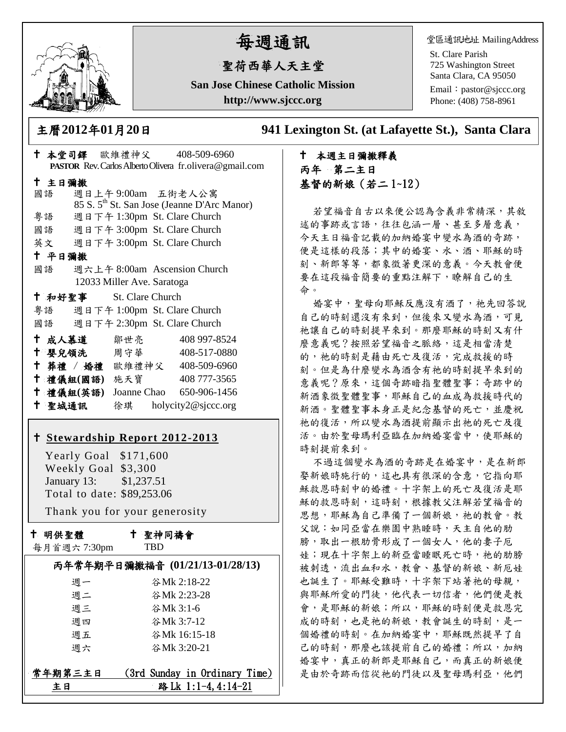

主日彌撒

平日彌撒

# 每週通訊

## 聖荷西華人天主堂

**San Jose Chinese Catholic Mission http://www.sjccc.org**

堂區通訊地址 MailingAddress

St. Clare Parish 725 Washington Street Santa Clara, CA 95050

Email: [pastor@sjccc.org](mailto:pastor@sjccc.org) Phone: (408) 758-8961

主曆**2012**年**01**月**20**日 **941 Lexington St. (at Lafayette St.), Santa Clara** 

# 本堂司鐸 歐維禮神父 408-509-6960 **PASTOR** Rev. Carlos Alberto Olivera fr.olivera@gmail.com 國語 週日上午 9:00am 五街老人公寓 85 S. 5th St. San Jose (Jeanne D'Arc Manor) 粵語 週日下午 1:30pm St. Clare Church 國語 週日下午 3:00pm St. Clare Church 英文 週日下午 3:00pm St. Clare Church

國語 週六上午 8:00am Ascension Church 12033 Miller Ave. Saratoga

| 十 和好聖事 |           | St. Clare Church             |              |
|--------|-----------|------------------------------|--------------|
| 粤語     |           | 週日下午 1:00pm St. Clare Church |              |
| 國語     |           | 週日下午 2:30pm St. Clare Church |              |
| 十 成人慕道 |           | 鄒世亮                          | 408 997-8524 |
| 十 嬰兒領洗 |           | 周守華                          | 408-517-0880 |
|        | † 葬禮 / 婚禮 | 歐維禮神父                        | 408-509-6960 |
|        | 十 禮儀組(國語) | 施天寶                          | 408 777-3565 |
|        | 十 禮儀組(英語) | Joanne Chao                  | 650-906-1456 |

# **[Stewardship Report 2012-2013](http://sjccc.org/index.php/finance.html?src=bulletin112512)**

聖城通訊 徐琪 holycity2@sjccc.org

 Yearly Goal \$171,600 Weekly Goal \$3,300 January 13: \$1,237.51 Total to date: \$89,253.06

Thank you for your generosity

十 明供聖體

聖神同禱會

|  |  | 每月首週六 7:30pm |
|--|--|--------------|
|--|--|--------------|

TBD

|         | 丙年常年期平日彌撒福音 (01/21/13-01/28/13) |
|---------|---------------------------------|
| 调一      | 谷Mk 2:18-22                     |
| 週二      | 谷Mk 2:23-28                     |
| 週三      | 谷Mk 3:1-6                       |
| 调四      | 谷Mk 3:7-12                      |
| 週五      | 谷Mk 16:15-18                    |
| 週六      | 谷Mk 3:20-21                     |
| 常年期第三主日 | (3rd Sunday in Ordinary Time)   |
| ŧΗ      | 路 Lk 1:1-4, 4:14-21             |

## 本週主日彌撒釋義 丙年 第二主日 基督的新娘(若二 1~12)

若望福音自古以來便公認為含義非常精深,其敘 述的事跡或言語,往往包涵一層、甚至多層意義, 今天主日福音記載的加納婚宴中變水為酒的奇跡, 便是這樣的段落;其中的婚宴、水、酒、耶穌的時 刻、新郎等等,都象徵著更深的意義。今天教會便 要在這段福音簡要的重點注解下,瞭解自己的生 命。

婚宴中, 聖母向耶穌反應沒有酒了, 祂先回答說 自己的時刻還沒有來到,但後來又變水為酒,可見 祂讓自己的時刻提早來到。那麼耶穌的時刻又有什 麼意義呢?按照若望福音之脈絡,這是相當清楚 的,祂的時刻是藉由死亡及復活,完成救援的時 刻。但是為什麼變水為酒含有祂的時刻提早來到的 意義呢?原來,這個奇跡暗指聖體聖事;奇跡中的 新酒象徵聖體聖事,耶穌自己的血成為救援時代的 新酒。聖體聖事本身正是紀念基督的死亡,並慶祝 祂的復活,所以變水為酒提前顯示出祂的死亡及復 活。由於聖母瑪利亞臨在加納婚宴當中,使耶穌的 時刻提前來到。

不過這個變水為酒的奇跡是在婚宴中,是在新郎 娶新娘時施行的,這也具有很深的含意,它指向耶 穌救恩時刻中的婚禮。十字架上的死亡及復活是耶 穌的救恩時刻,這時刻,根據教父注解若望福音的 思想,耶穌為自己準備了一個新娘,祂的教會。教 父說:如同亞當在樂園中熟睡時,天主自他的肋 膀,取出一根肋骨形成了一個女人,他的妻子厄 娃;現在十字架上的新亞當睡眠死亡時,祂的肋膀 被刺透,流出血和水,教會、基督的新娘、新厄娃 也誕生了。耶穌受難時,十字架下站著祂的母親, 與耶穌所愛的門徒,他代表一切信者,他們便是教 會,是耶穌的新娘;所以,耶穌的時刻便是救恩完 成的時刻,也是祂的新娘,教會誕生的時刻,是一 個婚禮的時刻。在加納婚宴中,耶穌既然提早了自 己的時刻,那麼也該提前自己的婚禮;所以,加納 婚宴中,真正的新郎是耶穌自己,而真正的新娘便 是由於奇跡而信從祂的門徒以及聖母瑪利亞,他們